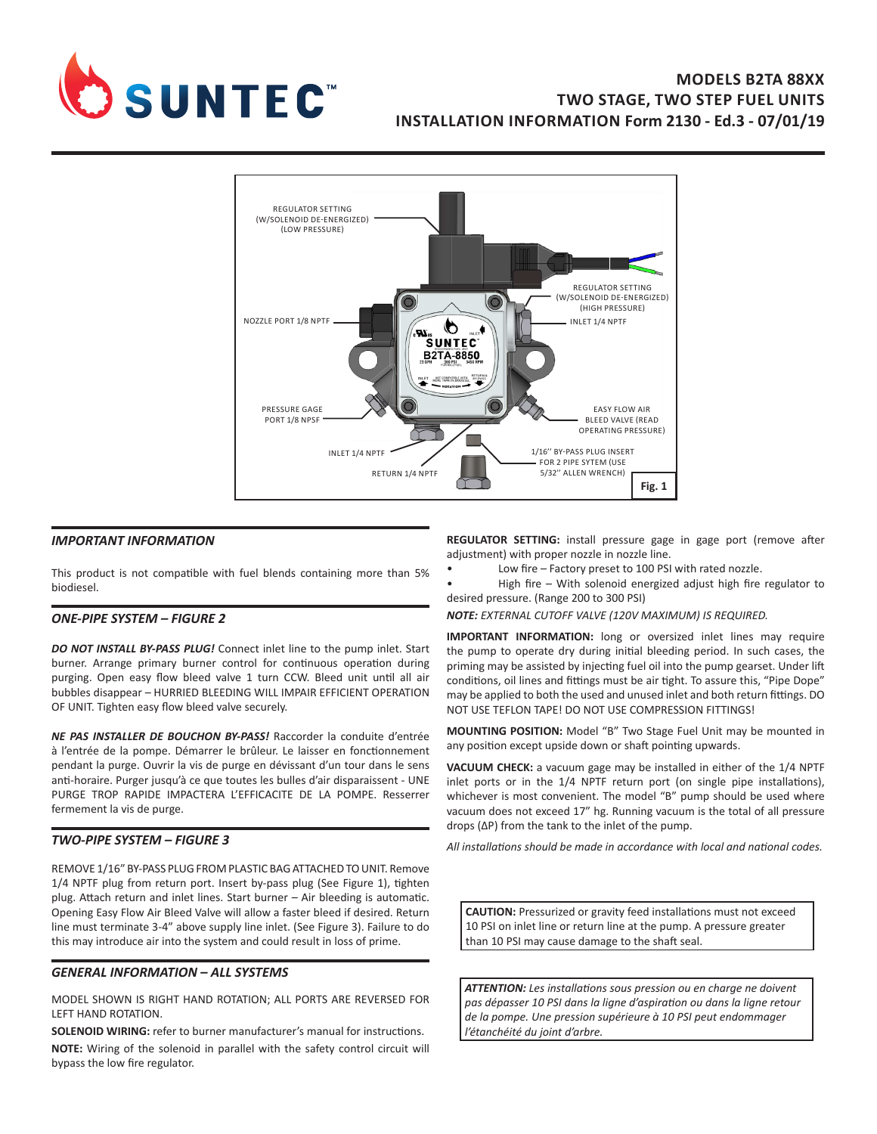

# **MODELS B2TA 88XX TWO STAGE, TWO STEP FUEL UNITS INSTALLATION INFORMATION Form 2130 - Ed.3 - 07/01/19**



### *IMPORTANT INFORMATION*

This product is not compatible with fuel blends containing more than 5% biodiesel.

#### *ONE-PIPE SYSTEM – FIGURE 2*

*DO NOT INSTALL BY-PASS PLUG!* Connect inlet line to the pump inlet. Start burner. Arrange primary burner control for continuous operation during purging. Open easy flow bleed valve 1 turn CCW. Bleed unit until all air bubbles disappear – HURRIED BLEEDING WILL IMPAIR EFFICIENT OPERATION OF UNIT. Tighten easy flow bleed valve securely.

*NE PAS INSTALLER DE BOUCHON BY-PASS!* Raccorder la conduite d'entrée à l'entrée de la pompe. Démarrer le brûleur. Le laisser en fonctionnement pendant la purge. Ouvrir la vis de purge en dévissant d'un tour dans le sens anti-horaire. Purger jusqu'à ce que toutes les bulles d'air disparaissent - UNE PURGE TROP RAPIDE IMPACTERA L'EFFICACITE DE LA POMPE. Resserrer fermement la vis de purge.

#### *TWO-PIPE SYSTEM – FIGURE 3*

REMOVE 1/16" BY-PASS PLUG FROM PLASTIC BAG ATTACHED TO UNIT. Remove 1/4 NPTF plug from return port. Insert by-pass plug (See Figure 1), tighten plug. Attach return and inlet lines. Start burner – Air bleeding is automatic. Opening Easy Flow Air Bleed Valve will allow a faster bleed if desired. Return line must terminate 3-4" above supply line inlet. (See Figure 3). Failure to do this may introduce air into the system and could result in loss of prime.

#### *GENERAL INFORMATION – ALL SYSTEMS*

MODEL SHOWN IS RIGHT HAND ROTATION; ALL PORTS ARE REVERSED FOR LEFT HAND ROTATION.

**SOLENOID WIRING:** refer to burner manufacturer's manual for instructions. **NOTE:** Wiring of the solenoid in parallel with the safety control circuit will bypass the low fire regulator.

**REGULATOR SETTING:** install pressure gage in gage port (remove after adjustment) with proper nozzle in nozzle line.

- Low fire Factory preset to 100 PSI with rated nozzle.
- High fire With solenoid energized adjust high fire regulator to desired pressure. (Range 200 to 300 PSI)

*NOTE: EXTERNAL CUTOFF VALVE (120V MAXIMUM) IS REQUIRED.*

**IMPORTANT INFORMATION:** long or oversized inlet lines may require the pump to operate dry during initial bleeding period. In such cases, the priming may be assisted by injecting fuel oil into the pump gearset. Under lift conditions, oil lines and fittings must be air tight. To assure this, "Pipe Dope" may be applied to both the used and unused inlet and both return fittings. DO NOT USE TEFLON TAPE! DO NOT USE COMPRESSION FITTINGS!

**MOUNTING POSITION:** Model "B" Two Stage Fuel Unit may be mounted in any position except upside down or shaft pointing upwards.

**VACUUM CHECK:** a vacuum gage may be installed in either of the 1/4 NPTF inlet ports or in the 1/4 NPTF return port (on single pipe installations), whichever is most convenient. The model "B" pump should be used where vacuum does not exceed 17" hg. Running vacuum is the total of all pressure drops (ΔP) from the tank to the inlet of the pump.

*All installations should be made in accordance with local and national codes.*

**CAUTION:** Pressurized or gravity feed installations must not exceed 10 PSI on inlet line or return line at the pump. A pressure greater than 10 PSI may cause damage to the shaft seal.

*ATTENTION: Les installations sous pression ou en charge ne doivent pas dépasser 10 PSI dans la ligne d'aspiration ou dans la ligne retour de la pompe. Une pression supérieure à 10 PSI peut endommager l'étanchéité du joint d'arbre.*